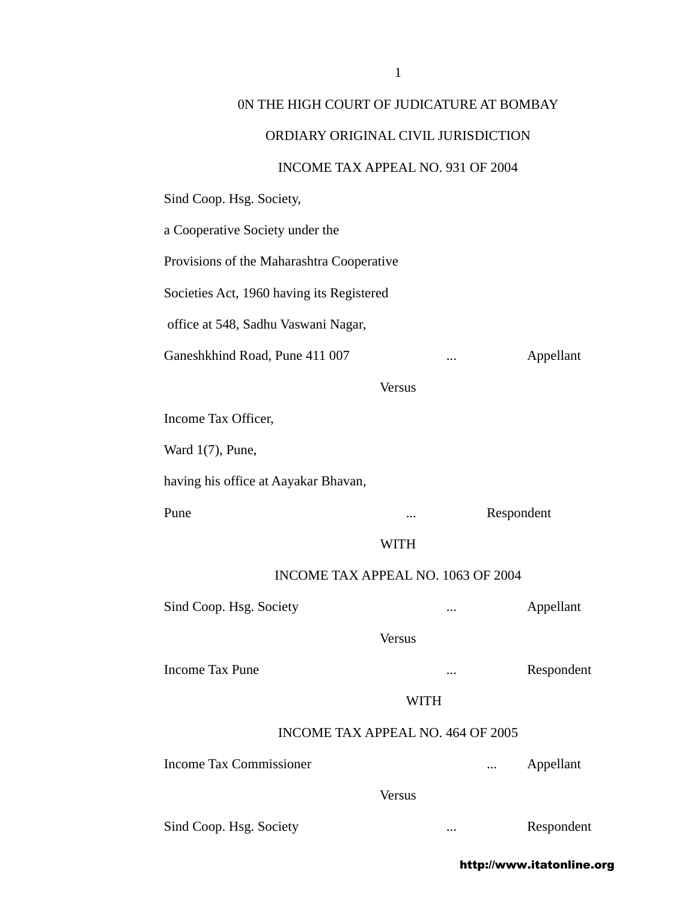## 0N THE HIGH COURT OF JUDICATURE AT BOMBAY

#### ORDIARY ORIGINAL CIVIL JURISDICTION

#### INCOME TAX APPEAL NO. 931 OF 2004

Sind Coop. Hsg. Society,

a Cooperative Society under the Provisions of the Maharashtra Cooperative Societies Act, 1960 having its Registered office at 548, Sadhu Vaswani Nagar, Ganeshkhind Road, Pune 411 007 ... Appellant Versus Income Tax Officer, Ward 1(7), Pune, having his office at Aayakar Bhavan, Pune ... Respondent WITH INCOME TAX APPEAL NO. 1063 OF 2004 Sind Coop. Hsg. Society **...** Appellant Versus Income Tax Pune ... **Income Tax Pune ...** Respondent WITH INCOME TAX APPEAL NO. 464 OF 2005 Income Tax Commissioner **...** Appellant Versus

Sind Coop. Hsg. Society ... ... Respondent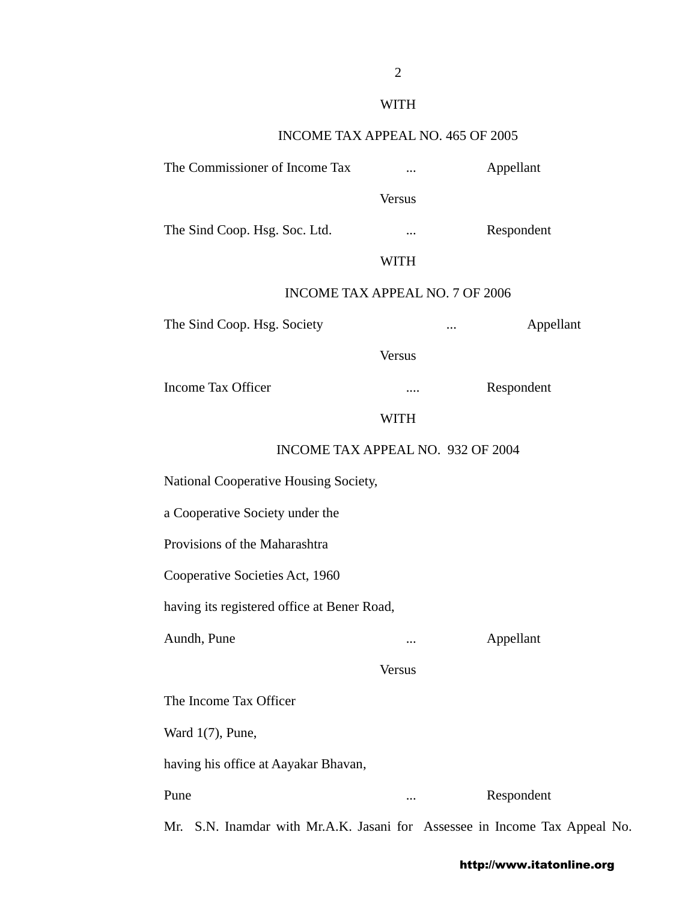# WITH

## INCOME TAX APPEAL NO. 465 OF 2005

| The Commissioner of Income Tax              |               | Appellant                                                              |
|---------------------------------------------|---------------|------------------------------------------------------------------------|
|                                             | <b>Versus</b> |                                                                        |
| The Sind Coop. Hsg. Soc. Ltd.               | $\cdots$      | Respondent                                                             |
|                                             | <b>WITH</b>   |                                                                        |
| <b>INCOME TAX APPEAL NO. 7 OF 2006</b>      |               |                                                                        |
| The Sind Coop. Hsg. Society                 |               | Appellant<br>$\cdots$                                                  |
|                                             | <b>Versus</b> |                                                                        |
| <b>Income Tax Officer</b>                   |               | Respondent                                                             |
|                                             | <b>WITH</b>   |                                                                        |
| INCOME TAX APPEAL NO. 932 OF 2004           |               |                                                                        |
| National Cooperative Housing Society,       |               |                                                                        |
| a Cooperative Society under the             |               |                                                                        |
| Provisions of the Maharashtra               |               |                                                                        |
| Cooperative Societies Act, 1960             |               |                                                                        |
| having its registered office at Bener Road, |               |                                                                        |
| Aundh, Pune                                 | $\ddotsc$     | Appellant                                                              |
|                                             | <b>Versus</b> |                                                                        |
| The Income Tax Officer                      |               |                                                                        |
| Ward $1(7)$ , Pune,                         |               |                                                                        |
| having his office at Aayakar Bhavan,        |               |                                                                        |
| Pune                                        | $\cdots$      | Respondent                                                             |
| Mr.                                         |               | S.N. Inamdar with Mr.A.K. Jasani for Assessee in Income Tax Appeal No. |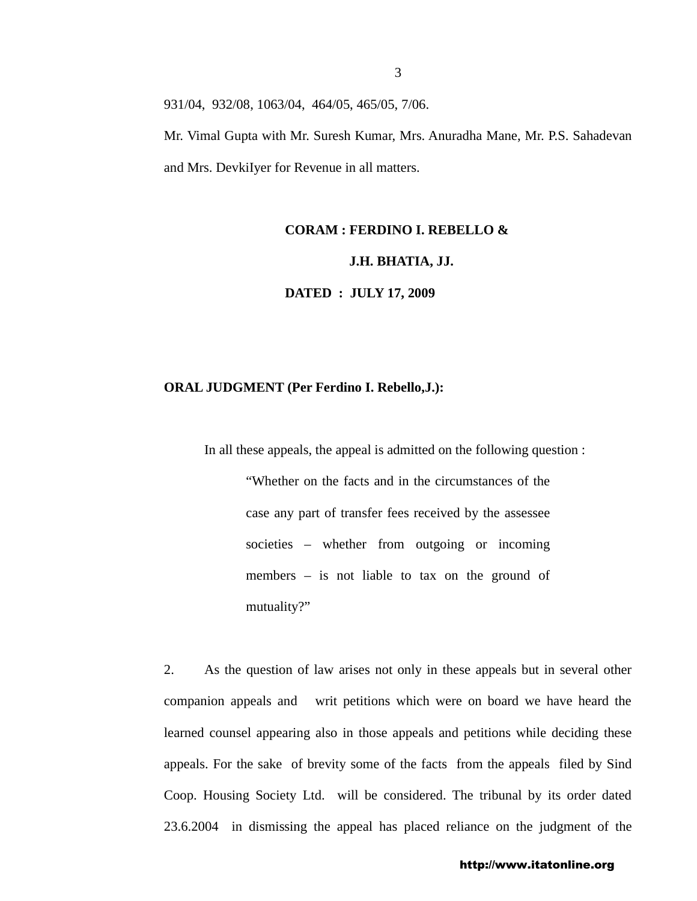931/04, 932/08, 1063/04, 464/05, 465/05, 7/06.

Mr. Vimal Gupta with Mr. Suresh Kumar, Mrs. Anuradha Mane, Mr. P.S. Sahadevan and Mrs. DevkiIyer for Revenue in all matters.

#### **CORAM : FERDINO I. REBELLO &**

### **J.H. BHATIA, JJ.**

**DATED : JULY 17, 2009**

#### **ORAL JUDGMENT (Per Ferdino I. Rebello,J.):**

In all these appeals, the appeal is admitted on the following question :

"Whether on the facts and in the circumstances of the case any part of transfer fees received by the assessee societies – whether from outgoing or incoming members – is not liable to tax on the ground of mutuality?"

2. As the question of law arises not only in these appeals but in several other companion appeals and writ petitions which were on board we have heard the learned counsel appearing also in those appeals and petitions while deciding these appeals. For the sake of brevity some of the facts from the appeals filed by Sind Coop. Housing Society Ltd. will be considered. The tribunal by its order dated 23.6.2004 in dismissing the appeal has placed reliance on the judgment of the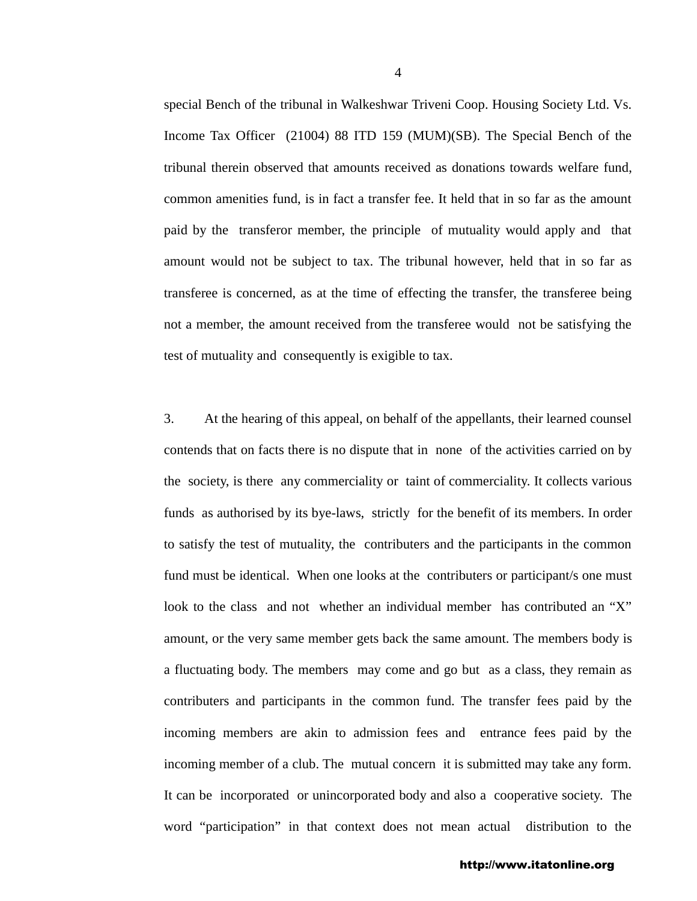special Bench of the tribunal in Walkeshwar Triveni Coop. Housing Society Ltd. Vs. Income Tax Officer (21004) 88 ITD 159 (MUM)(SB). The Special Bench of the tribunal therein observed that amounts received as donations towards welfare fund, common amenities fund, is in fact a transfer fee. It held that in so far as the amount paid by the transferor member, the principle of mutuality would apply and that amount would not be subject to tax. The tribunal however, held that in so far as transferee is concerned, as at the time of effecting the transfer, the transferee being not a member, the amount received from the transferee would not be satisfying the test of mutuality and consequently is exigible to tax.

3. At the hearing of this appeal, on behalf of the appellants, their learned counsel contends that on facts there is no dispute that in none of the activities carried on by the society, is there any commerciality or taint of commerciality. It collects various funds as authorised by its bye-laws, strictly for the benefit of its members. In order to satisfy the test of mutuality, the contributers and the participants in the common fund must be identical. When one looks at the contributers or participant/s one must look to the class and not whether an individual member has contributed an "X" amount, or the very same member gets back the same amount. The members body is a fluctuating body. The members may come and go but as a class, they remain as contributers and participants in the common fund. The transfer fees paid by the incoming members are akin to admission fees and entrance fees paid by the incoming member of a club. The mutual concern it is submitted may take any form. It can be incorporated or unincorporated body and also a cooperative society. The word "participation" in that context does not mean actual distribution to the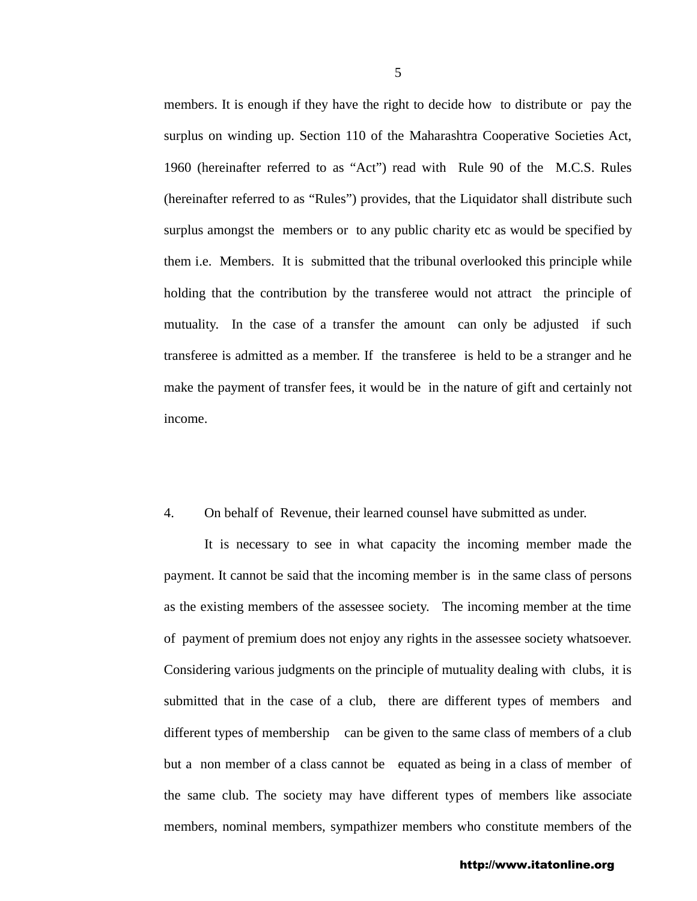members. It is enough if they have the right to decide how to distribute or pay the surplus on winding up. Section 110 of the Maharashtra Cooperative Societies Act, 1960 (hereinafter referred to as "Act") read with Rule 90 of the M.C.S. Rules (hereinafter referred to as "Rules") provides, that the Liquidator shall distribute such surplus amongst the members or to any public charity etc as would be specified by them i.e. Members. It is submitted that the tribunal overlooked this principle while holding that the contribution by the transferee would not attract the principle of mutuality. In the case of a transfer the amount can only be adjusted if such transferee is admitted as a member. If the transferee is held to be a stranger and he make the payment of transfer fees, it would be in the nature of gift and certainly not income.

### 4. On behalf of Revenue, their learned counsel have submitted as under.

It is necessary to see in what capacity the incoming member made the payment. It cannot be said that the incoming member is in the same class of persons as the existing members of the assessee society. The incoming member at the time of payment of premium does not enjoy any rights in the assessee society whatsoever. Considering various judgments on the principle of mutuality dealing with clubs, it is submitted that in the case of a club, there are different types of members and different types of membership can be given to the same class of members of a club but a non member of a class cannot be equated as being in a class of member of the same club. The society may have different types of members like associate members, nominal members, sympathizer members who constitute members of the

#### http://www.itatonline.org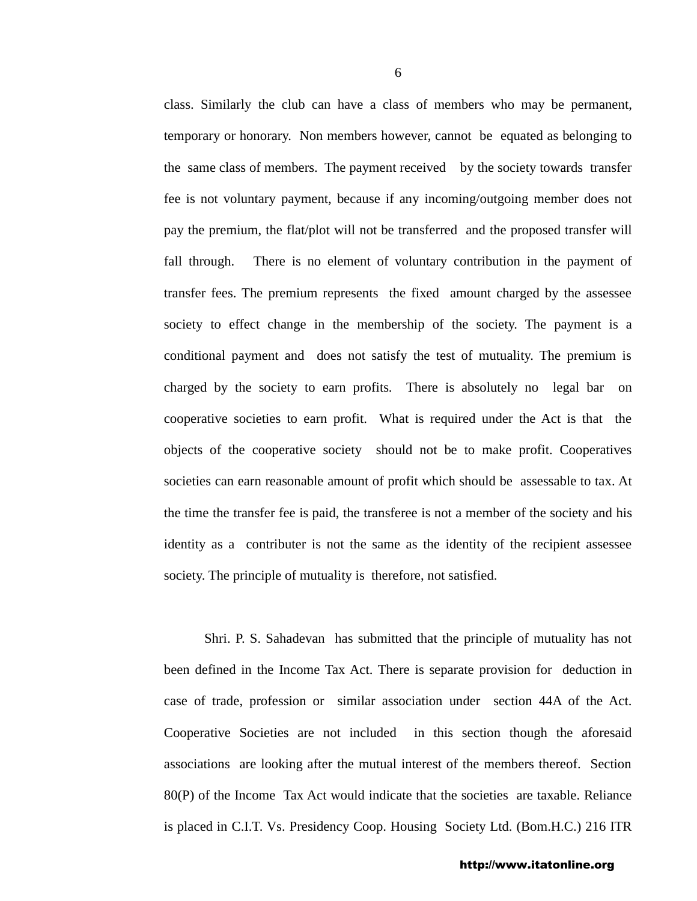class. Similarly the club can have a class of members who may be permanent, temporary or honorary. Non members however, cannot be equated as belonging to the same class of members. The payment received by the society towards transfer fee is not voluntary payment, because if any incoming/outgoing member does not pay the premium, the flat/plot will not be transferred and the proposed transfer will fall through. There is no element of voluntary contribution in the payment of transfer fees. The premium represents the fixed amount charged by the assessee society to effect change in the membership of the society. The payment is a conditional payment and does not satisfy the test of mutuality. The premium is charged by the society to earn profits. There is absolutely no legal bar on cooperative societies to earn profit. What is required under the Act is that the objects of the cooperative society should not be to make profit. Cooperatives societies can earn reasonable amount of profit which should be assessable to tax. At the time the transfer fee is paid, the transferee is not a member of the society and his identity as a contributer is not the same as the identity of the recipient assessee society. The principle of mutuality is therefore, not satisfied.

Shri. P. S. Sahadevan has submitted that the principle of mutuality has not been defined in the Income Tax Act. There is separate provision for deduction in case of trade, profession or similar association under section 44A of the Act. Cooperative Societies are not included in this section though the aforesaid associations are looking after the mutual interest of the members thereof. Section 80(P) of the Income Tax Act would indicate that the societies are taxable. Reliance is placed in C.I.T. Vs. Presidency Coop. Housing Society Ltd. (Bom.H.C.) 216 ITR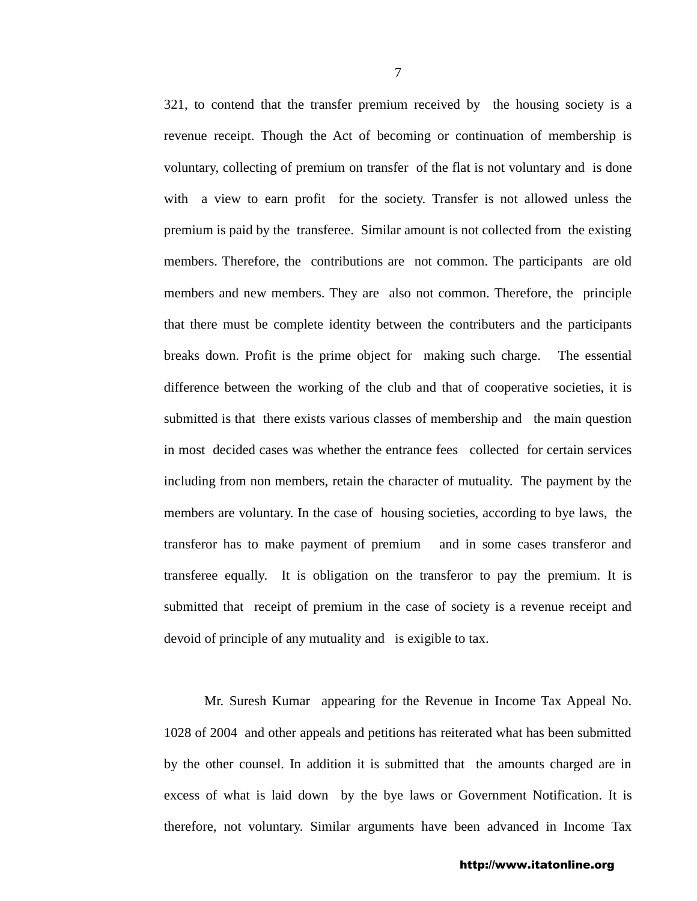321, to contend that the transfer premium received by the housing society is a revenue receipt. Though the Act of becoming or continuation of membership is voluntary, collecting of premium on transfer of the flat is not voluntary and is done with a view to earn profit for the society. Transfer is not allowed unless the premium is paid by the transferee. Similar amount is not collected from the existing members. Therefore, the contributions are not common. The participants are old members and new members. They are also not common. Therefore, the principle that there must be complete identity between the contributers and the participants breaks down. Profit is the prime object for making such charge. The essential difference between the working of the club and that of cooperative societies, it is submitted is that there exists various classes of membership and the main question in most decided cases was whether the entrance fees collected for certain services including from non members, retain the character of mutuality. The payment by the members are voluntary. In the case of housing societies, according to bye laws, the transferor has to make payment of premium and in some cases transferor and transferee equally. It is obligation on the transferor to pay the premium. It is submitted that receipt of premium in the case of society is a revenue receipt and devoid of principle of any mutuality and is exigible to tax.

Mr. Suresh Kumar appearing for the Revenue in Income Tax Appeal No. 1028 of 2004 and other appeals and petitions has reiterated what has been submitted by the other counsel. In addition it is submitted that the amounts charged are in excess of what is laid down by the bye laws or Government Notification. It is therefore, not voluntary. Similar arguments have been advanced in Income Tax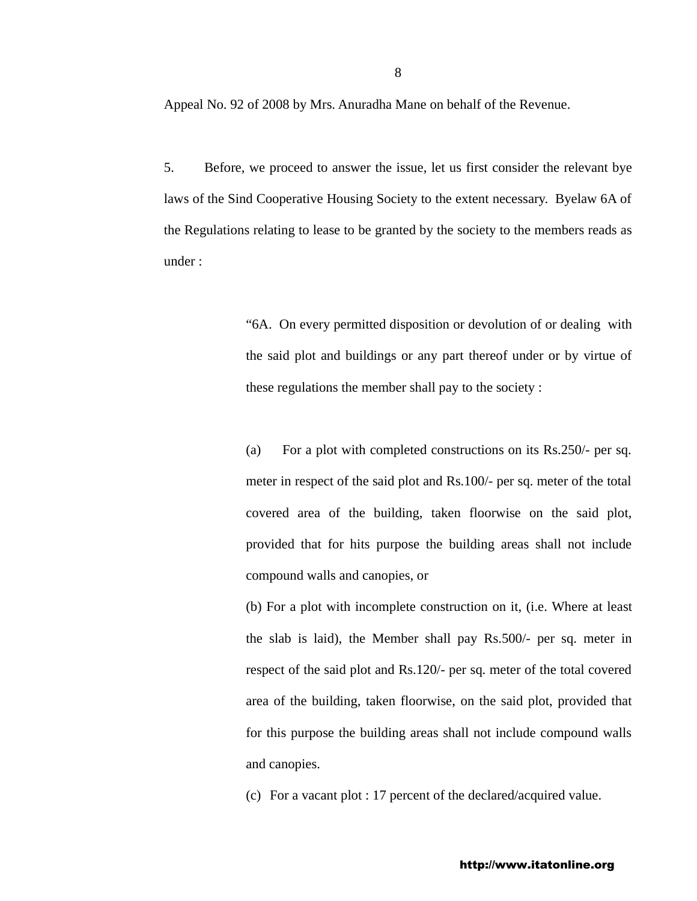Appeal No. 92 of 2008 by Mrs. Anuradha Mane on behalf of the Revenue.

5. Before, we proceed to answer the issue, let us first consider the relevant bye laws of the Sind Cooperative Housing Society to the extent necessary. Byelaw 6A of the Regulations relating to lease to be granted by the society to the members reads as under :

> "6A. On every permitted disposition or devolution of or dealing with the said plot and buildings or any part thereof under or by virtue of these regulations the member shall pay to the society :

> (a) For a plot with completed constructions on its Rs.250/- per sq. meter in respect of the said plot and Rs.100/- per sq. meter of the total covered area of the building, taken floorwise on the said plot, provided that for hits purpose the building areas shall not include compound walls and canopies, or

> (b) For a plot with incomplete construction on it, (i.e. Where at least the slab is laid), the Member shall pay Rs.500/- per sq. meter in respect of the said plot and Rs.120/- per sq. meter of the total covered area of the building, taken floorwise, on the said plot, provided that for this purpose the building areas shall not include compound walls and canopies.

(c) For a vacant plot : 17 percent of the declared/acquired value.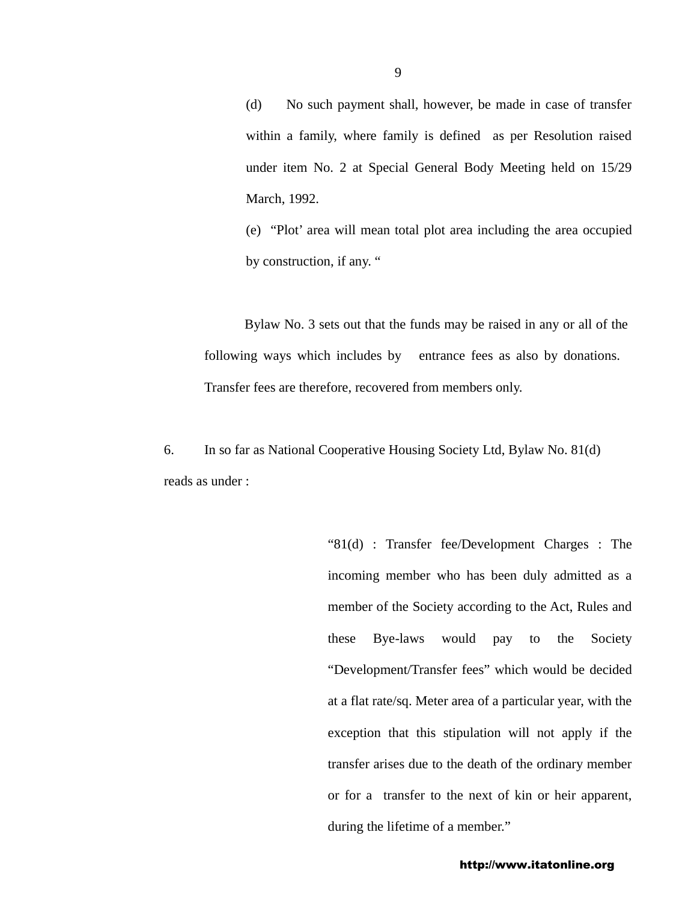(d) No such payment shall, however, be made in case of transfer within a family, where family is defined as per Resolution raised under item No. 2 at Special General Body Meeting held on 15/29 March, 1992.

(e) "Plot' area will mean total plot area including the area occupied by construction, if any. "

Bylaw No. 3 sets out that the funds may be raised in any or all of the following ways which includes by entrance fees as also by donations. Transfer fees are therefore, recovered from members only.

6. In so far as National Cooperative Housing Society Ltd, Bylaw No. 81(d) reads as under :

> "81(d) : Transfer fee/Development Charges : The incoming member who has been duly admitted as a member of the Society according to the Act, Rules and these Bye-laws would pay to the Society "Development/Transfer fees" which would be decided at a flat rate/sq. Meter area of a particular year, with the exception that this stipulation will not apply if the transfer arises due to the death of the ordinary member or for a transfer to the next of kin or heir apparent, during the lifetime of a member."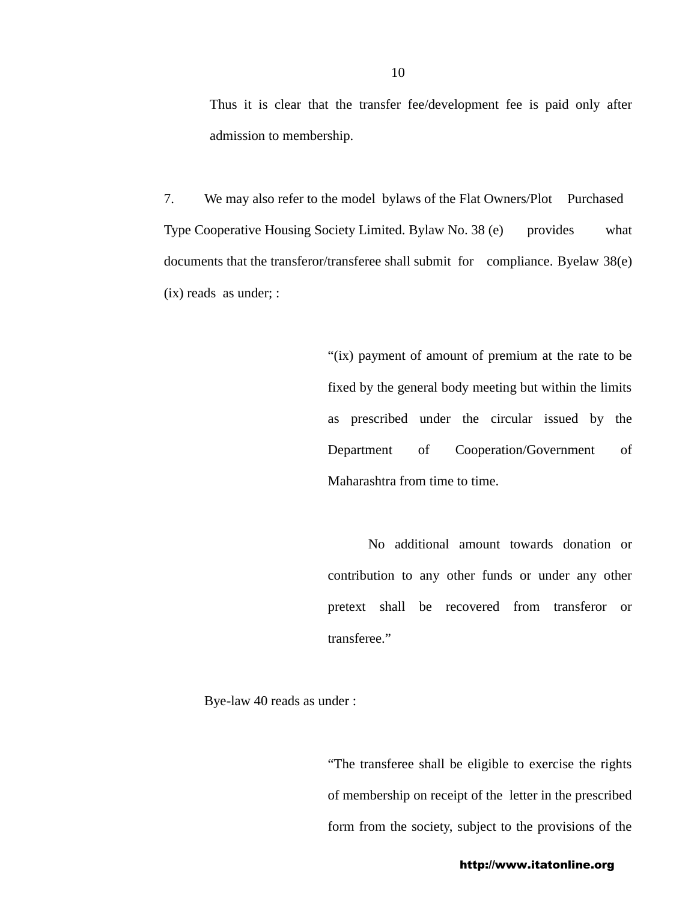Thus it is clear that the transfer fee/development fee is paid only after admission to membership.

7. We may also refer to the model bylaws of the Flat Owners/Plot Purchased Type Cooperative Housing Society Limited. Bylaw No. 38 (e) provides what documents that the transferor/transferee shall submit for compliance. Byelaw 38(e) (ix) reads as under; :

> "(ix) payment of amount of premium at the rate to be fixed by the general body meeting but within the limits as prescribed under the circular issued by the Department of Cooperation/Government of Maharashtra from time to time.

> No additional amount towards donation or contribution to any other funds or under any other pretext shall be recovered from transferor or transferee."

Bye-law 40 reads as under :

"The transferee shall be eligible to exercise the rights of membership on receipt of the letter in the prescribed form from the society, subject to the provisions of the

http://www.itatonline.org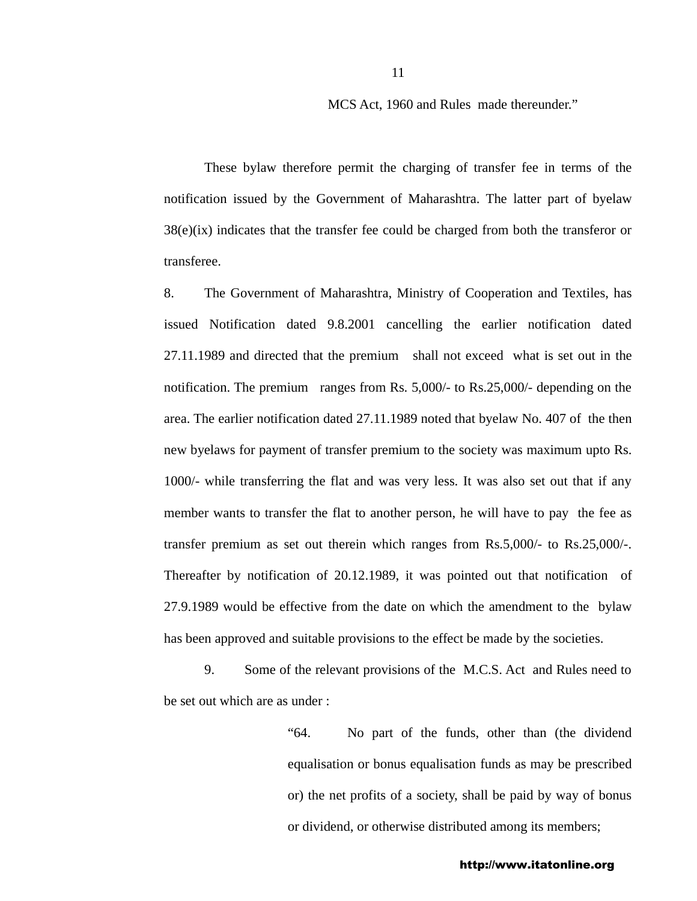MCS Act, 1960 and Rules made thereunder."

These bylaw therefore permit the charging of transfer fee in terms of the notification issued by the Government of Maharashtra. The latter part of byelaw 38(e)(ix) indicates that the transfer fee could be charged from both the transferor or transferee.

8. The Government of Maharashtra, Ministry of Cooperation and Textiles, has issued Notification dated 9.8.2001 cancelling the earlier notification dated 27.11.1989 and directed that the premium shall not exceed what is set out in the notification. The premium ranges from Rs. 5,000/- to Rs.25,000/- depending on the area. The earlier notification dated 27.11.1989 noted that byelaw No. 407 of the then new byelaws for payment of transfer premium to the society was maximum upto Rs. 1000/- while transferring the flat and was very less. It was also set out that if any member wants to transfer the flat to another person, he will have to pay the fee as transfer premium as set out therein which ranges from Rs.5,000/- to Rs.25,000/-. Thereafter by notification of 20.12.1989, it was pointed out that notification of 27.9.1989 would be effective from the date on which the amendment to the bylaw has been approved and suitable provisions to the effect be made by the societies.

9. Some of the relevant provisions of the M.C.S. Act and Rules need to be set out which are as under :

> "64. No part of the funds, other than (the dividend equalisation or bonus equalisation funds as may be prescribed or) the net profits of a society, shall be paid by way of bonus or dividend, or otherwise distributed among its members;

http://www.itatonline.org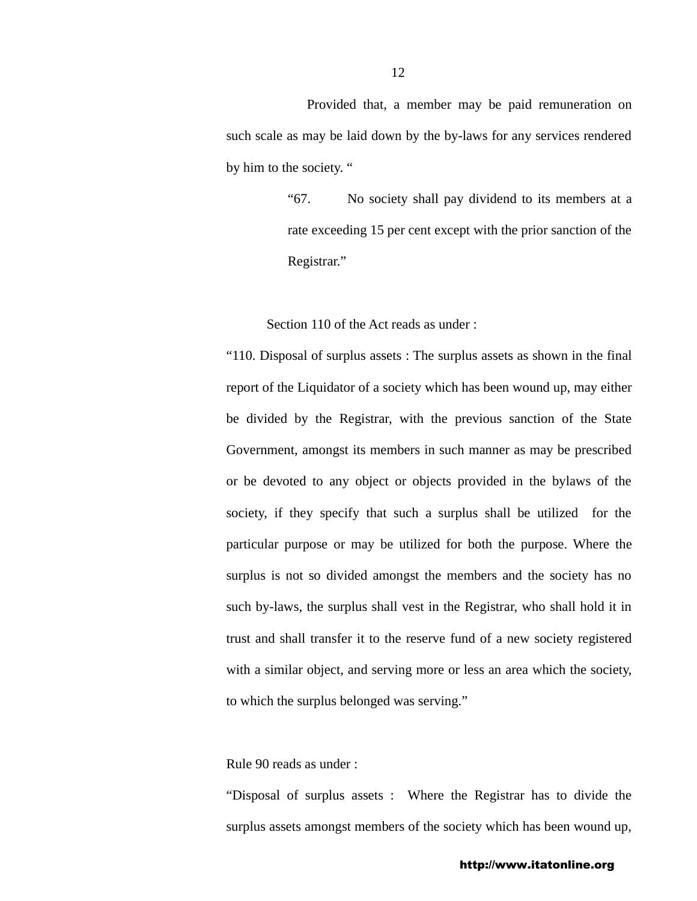Provided that, a member may be paid remuneration on such scale as may be laid down by the by-laws for any services rendered by him to the society. "

> "67. No society shall pay dividend to its members at a rate exceeding 15 per cent except with the prior sanction of the Registrar."

Section 110 of the Act reads as under :

"110. Disposal of surplus assets : The surplus assets as shown in the final report of the Liquidator of a society which has been wound up, may either be divided by the Registrar, with the previous sanction of the State Government, amongst its members in such manner as may be prescribed or be devoted to any object or objects provided in the bylaws of the society, if they specify that such a surplus shall be utilized for the particular purpose or may be utilized for both the purpose. Where the surplus is not so divided amongst the members and the society has no such by-laws, the surplus shall vest in the Registrar, who shall hold it in trust and shall transfer it to the reserve fund of a new society registered with a similar object, and serving more or less an area which the society, to which the surplus belonged was serving."

Rule 90 reads as under :

"Disposal of surplus assets : Where the Registrar has to divide the surplus assets amongst members of the society which has been wound up,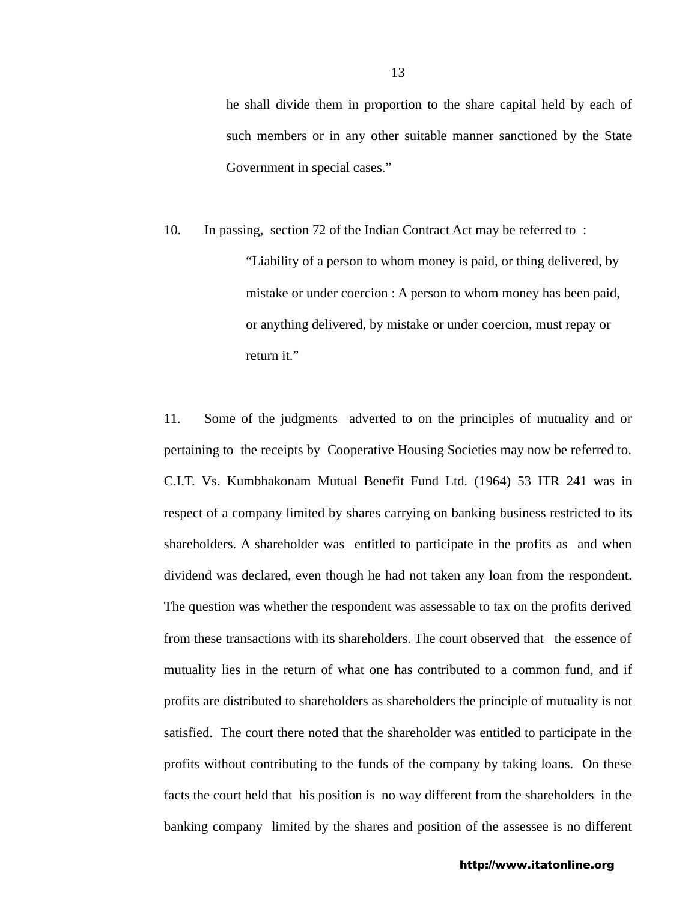he shall divide them in proportion to the share capital held by each of such members or in any other suitable manner sanctioned by the State Government in special cases."

10. In passing, section 72 of the Indian Contract Act may be referred to : "Liability of a person to whom money is paid, or thing delivered, by mistake or under coercion : A person to whom money has been paid, or anything delivered, by mistake or under coercion, must repay or return it."

11. Some of the judgments adverted to on the principles of mutuality and or pertaining to the receipts by Cooperative Housing Societies may now be referred to. C.I.T. Vs. Kumbhakonam Mutual Benefit Fund Ltd. (1964) 53 ITR 241 was in respect of a company limited by shares carrying on banking business restricted to its shareholders. A shareholder was entitled to participate in the profits as and when dividend was declared, even though he had not taken any loan from the respondent. The question was whether the respondent was assessable to tax on the profits derived from these transactions with its shareholders. The court observed that the essence of mutuality lies in the return of what one has contributed to a common fund, and if profits are distributed to shareholders as shareholders the principle of mutuality is not satisfied. The court there noted that the shareholder was entitled to participate in the profits without contributing to the funds of the company by taking loans. On these facts the court held that his position is no way different from the shareholders in the banking company limited by the shares and position of the assessee is no different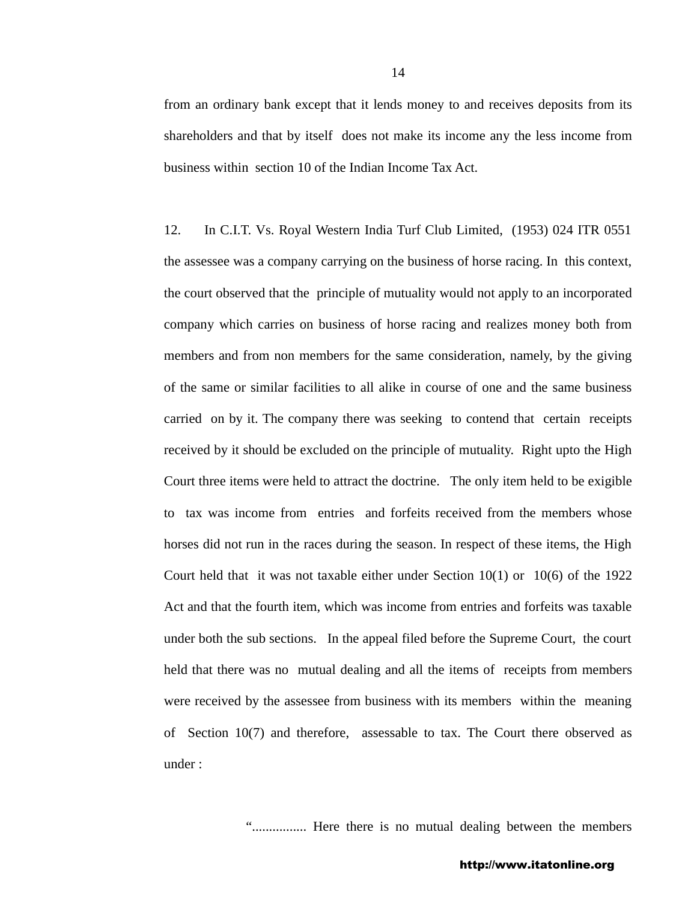from an ordinary bank except that it lends money to and receives deposits from its shareholders and that by itself does not make its income any the less income from business within section 10 of the Indian Income Tax Act.

12. In C.I.T. Vs. Royal Western India Turf Club Limited, (1953) 024 ITR 0551 the assessee was a company carrying on the business of horse racing. In this context, the court observed that the principle of mutuality would not apply to an incorporated company which carries on business of horse racing and realizes money both from members and from non members for the same consideration, namely, by the giving of the same or similar facilities to all alike in course of one and the same business carried on by it. The company there was seeking to contend that certain receipts received by it should be excluded on the principle of mutuality. Right upto the High Court three items were held to attract the doctrine. The only item held to be exigible to tax was income from entries and forfeits received from the members whose horses did not run in the races during the season. In respect of these items, the High Court held that it was not taxable either under Section 10(1) or 10(6) of the 1922 Act and that the fourth item, which was income from entries and forfeits was taxable under both the sub sections. In the appeal filed before the Supreme Court, the court held that there was no mutual dealing and all the items of receipts from members were received by the assessee from business with its members within the meaning of Section 10(7) and therefore, assessable to tax. The Court there observed as under :

"................ Here there is no mutual dealing between the members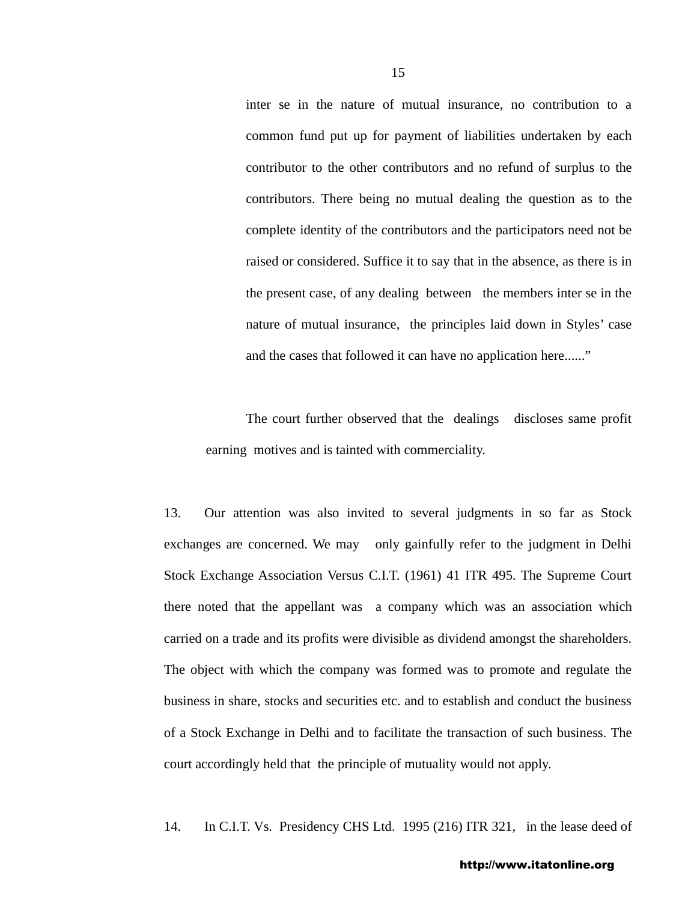inter se in the nature of mutual insurance, no contribution to a common fund put up for payment of liabilities undertaken by each contributor to the other contributors and no refund of surplus to the contributors. There being no mutual dealing the question as to the complete identity of the contributors and the participators need not be raised or considered. Suffice it to say that in the absence, as there is in the present case, of any dealing between the members inter se in the nature of mutual insurance, the principles laid down in Styles' case and the cases that followed it can have no application here......"

 The court further observed that the dealings discloses same profit earning motives and is tainted with commerciality.

13. Our attention was also invited to several judgments in so far as Stock exchanges are concerned. We may only gainfully refer to the judgment in Delhi Stock Exchange Association Versus C.I.T. (1961) 41 ITR 495. The Supreme Court there noted that the appellant was a company which was an association which carried on a trade and its profits were divisible as dividend amongst the shareholders. The object with which the company was formed was to promote and regulate the business in share, stocks and securities etc. and to establish and conduct the business of a Stock Exchange in Delhi and to facilitate the transaction of such business. The court accordingly held that the principle of mutuality would not apply.

14. In C.I.T. Vs. Presidency CHS Ltd. 1995 (216) ITR 321, in the lease deed of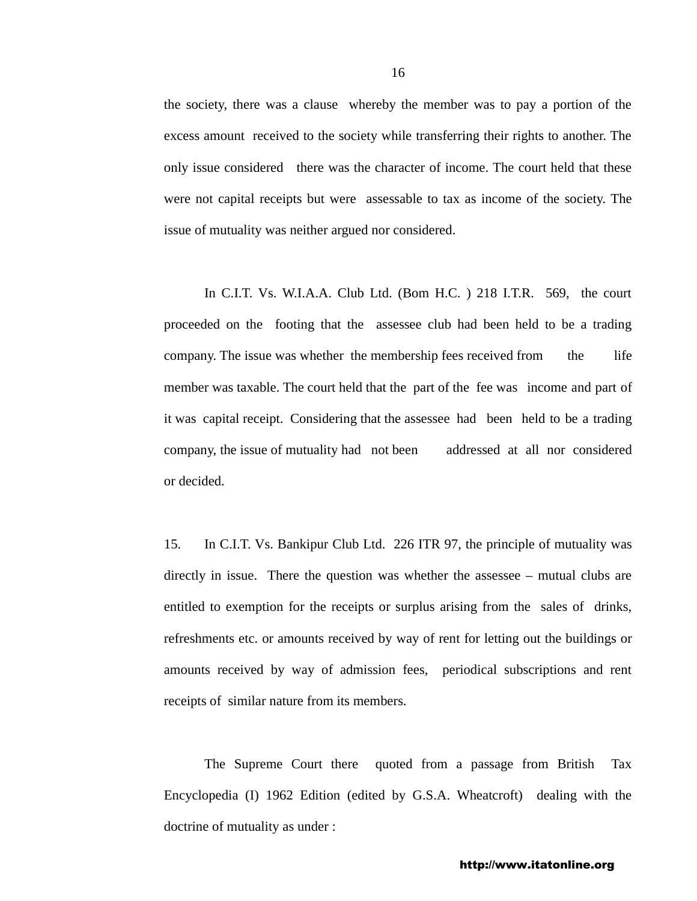the society, there was a clause whereby the member was to pay a portion of the excess amount received to the society while transferring their rights to another. The only issue considered there was the character of income. The court held that these were not capital receipts but were assessable to tax as income of the society. The issue of mutuality was neither argued nor considered.

 In C.I.T. Vs. W.I.A.A. Club Ltd. (Bom H.C. ) 218 I.T.R. 569, the court proceeded on the footing that the assessee club had been held to be a trading company. The issue was whether the membership fees received from the life member was taxable. The court held that the part of the fee was income and part of it was capital receipt. Considering that the assessee had been held to be a trading company, the issue of mutuality had not been addressed at all nor considered or decided.

15. In C.I.T. Vs. Bankipur Club Ltd. 226 ITR 97, the principle of mutuality was directly in issue. There the question was whether the assessee – mutual clubs are entitled to exemption for the receipts or surplus arising from the sales of drinks, refreshments etc. or amounts received by way of rent for letting out the buildings or amounts received by way of admission fees, periodical subscriptions and rent receipts of similar nature from its members.

The Supreme Court there quoted from a passage from British Tax Encyclopedia (I) 1962 Edition (edited by G.S.A. Wheatcroft) dealing with the doctrine of mutuality as under :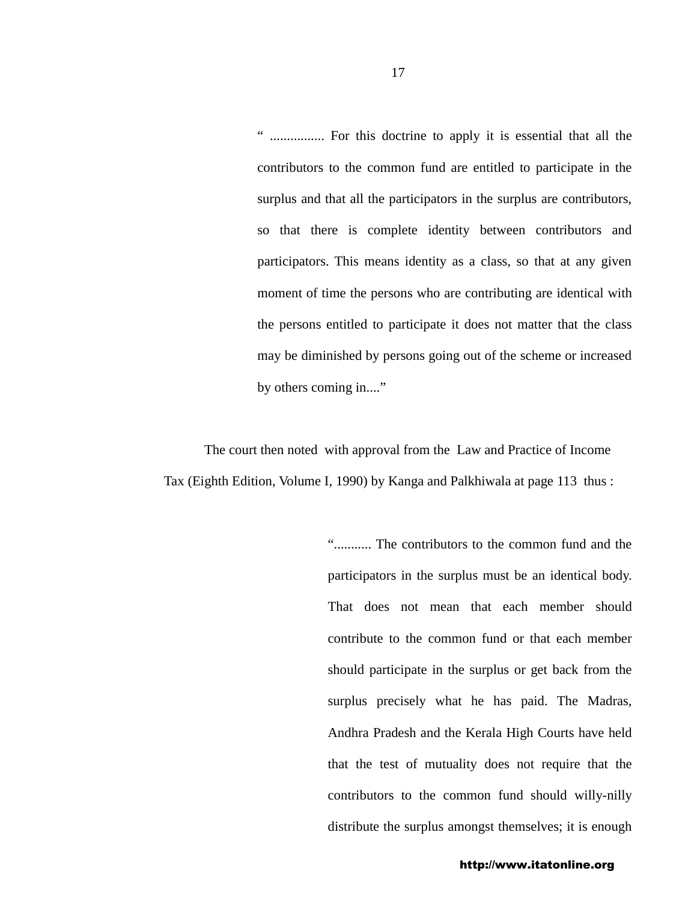" ................ For this doctrine to apply it is essential that all the contributors to the common fund are entitled to participate in the surplus and that all the participators in the surplus are contributors, so that there is complete identity between contributors and participators. This means identity as a class, so that at any given moment of time the persons who are contributing are identical with the persons entitled to participate it does not matter that the class may be diminished by persons going out of the scheme or increased by others coming in...."

The court then noted with approval from the Law and Practice of Income Tax (Eighth Edition, Volume I, 1990) by Kanga and Palkhiwala at page 113 thus :

> "........... The contributors to the common fund and the participators in the surplus must be an identical body. That does not mean that each member should contribute to the common fund or that each member should participate in the surplus or get back from the surplus precisely what he has paid. The Madras, Andhra Pradesh and the Kerala High Courts have held that the test of mutuality does not require that the contributors to the common fund should willy-nilly distribute the surplus amongst themselves; it is enough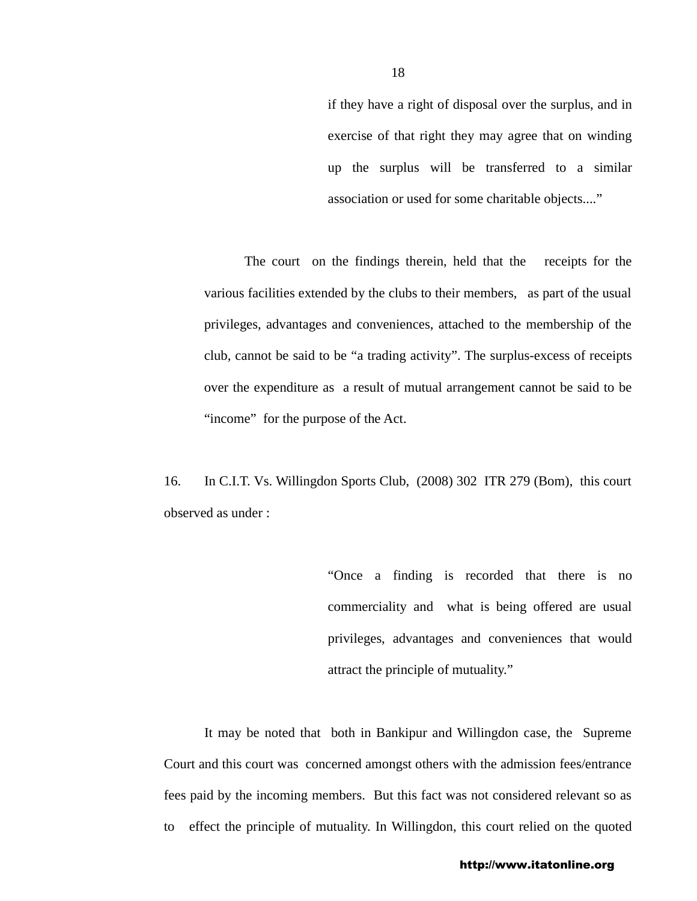if they have a right of disposal over the surplus, and in exercise of that right they may agree that on winding up the surplus will be transferred to a similar association or used for some charitable objects...."

The court on the findings therein, held that the receipts for the various facilities extended by the clubs to their members, as part of the usual privileges, advantages and conveniences, attached to the membership of the club, cannot be said to be "a trading activity". The surplus-excess of receipts over the expenditure as a result of mutual arrangement cannot be said to be "income" for the purpose of the Act.

16. In C.I.T. Vs. Willingdon Sports Club, (2008) 302 ITR 279 (Bom), this court observed as under :

> "Once a finding is recorded that there is no commerciality and what is being offered are usual privileges, advantages and conveniences that would attract the principle of mutuality."

It may be noted that both in Bankipur and Willingdon case, the Supreme Court and this court was concerned amongst others with the admission fees/entrance fees paid by the incoming members. But this fact was not considered relevant so as to effect the principle of mutuality. In Willingdon, this court relied on the quoted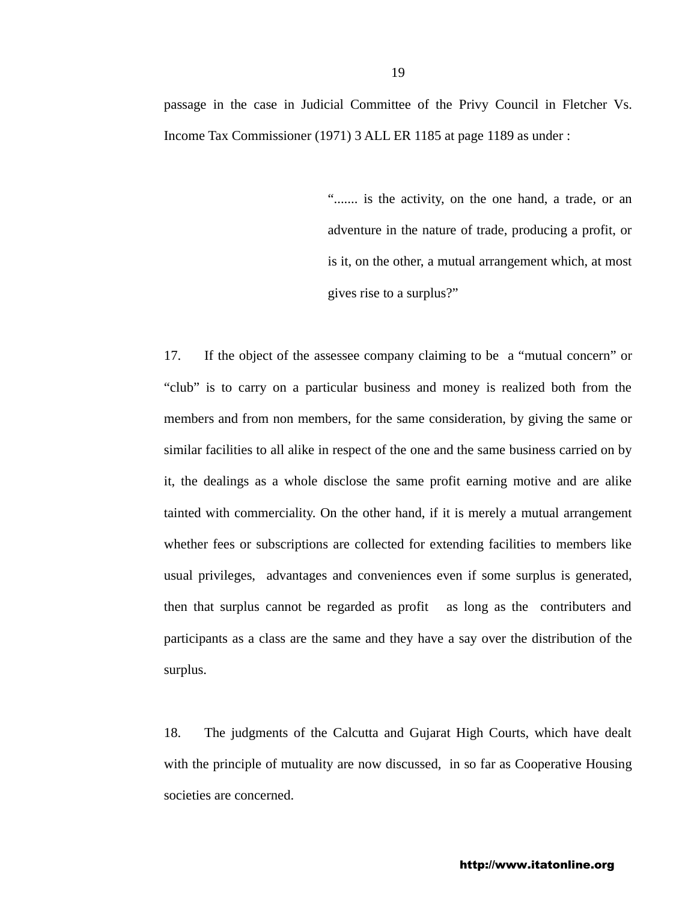passage in the case in Judicial Committee of the Privy Council in Fletcher Vs. Income Tax Commissioner (1971) 3 ALL ER 1185 at page 1189 as under :

> "....... is the activity, on the one hand, a trade, or an adventure in the nature of trade, producing a profit, or is it, on the other, a mutual arrangement which, at most gives rise to a surplus?"

17. If the object of the assessee company claiming to be a "mutual concern" or "club" is to carry on a particular business and money is realized both from the members and from non members, for the same consideration, by giving the same or similar facilities to all alike in respect of the one and the same business carried on by it, the dealings as a whole disclose the same profit earning motive and are alike tainted with commerciality. On the other hand, if it is merely a mutual arrangement whether fees or subscriptions are collected for extending facilities to members like usual privileges, advantages and conveniences even if some surplus is generated, then that surplus cannot be regarded as profit as long as the contributers and participants as a class are the same and they have a say over the distribution of the surplus.

18. The judgments of the Calcutta and Gujarat High Courts, which have dealt with the principle of mutuality are now discussed, in so far as Cooperative Housing societies are concerned.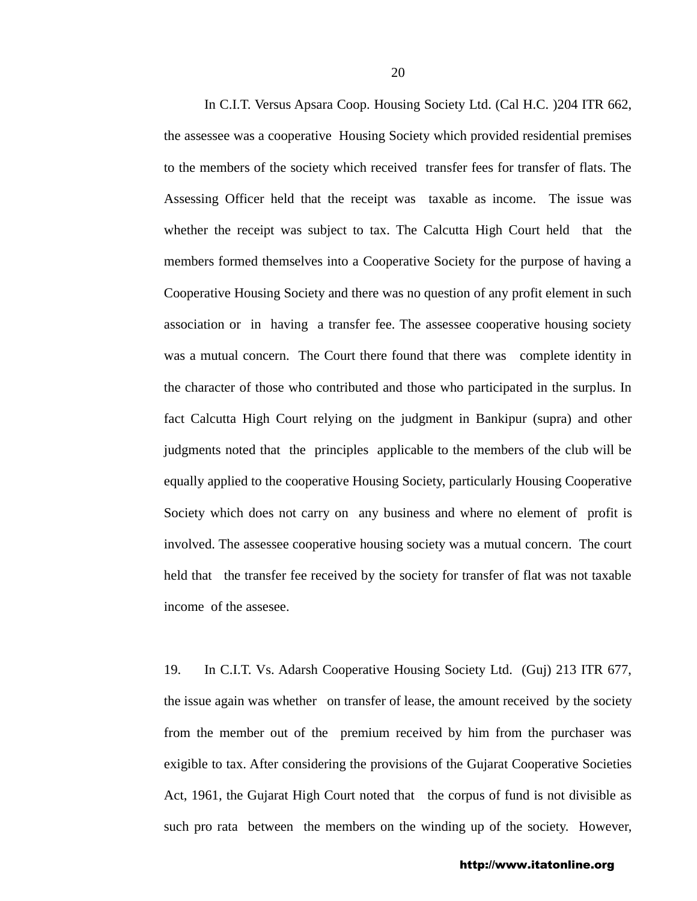In C.I.T. Versus Apsara Coop. Housing Society Ltd. (Cal H.C. )204 ITR 662, the assessee was a cooperative Housing Society which provided residential premises to the members of the society which received transfer fees for transfer of flats. The Assessing Officer held that the receipt was taxable as income. The issue was whether the receipt was subject to tax. The Calcutta High Court held that the members formed themselves into a Cooperative Society for the purpose of having a Cooperative Housing Society and there was no question of any profit element in such association or in having a transfer fee. The assessee cooperative housing society was a mutual concern. The Court there found that there was complete identity in the character of those who contributed and those who participated in the surplus. In fact Calcutta High Court relying on the judgment in Bankipur (supra) and other judgments noted that the principles applicable to the members of the club will be equally applied to the cooperative Housing Society, particularly Housing Cooperative Society which does not carry on any business and where no element of profit is involved. The assessee cooperative housing society was a mutual concern. The court held that the transfer fee received by the society for transfer of flat was not taxable income of the assesee.

19. In C.I.T. Vs. Adarsh Cooperative Housing Society Ltd. (Guj) 213 ITR 677, the issue again was whether on transfer of lease, the amount received by the society from the member out of the premium received by him from the purchaser was exigible to tax. After considering the provisions of the Gujarat Cooperative Societies Act, 1961, the Gujarat High Court noted that the corpus of fund is not divisible as such pro rata between the members on the winding up of the society. However,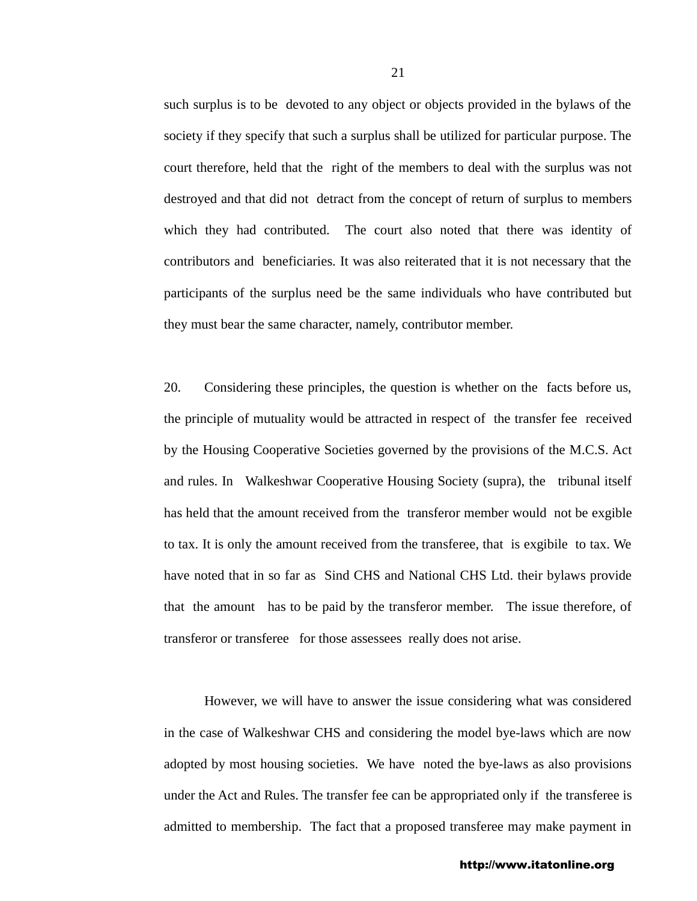such surplus is to be devoted to any object or objects provided in the bylaws of the society if they specify that such a surplus shall be utilized for particular purpose. The court therefore, held that the right of the members to deal with the surplus was not destroyed and that did not detract from the concept of return of surplus to members which they had contributed. The court also noted that there was identity of contributors and beneficiaries. It was also reiterated that it is not necessary that the participants of the surplus need be the same individuals who have contributed but they must bear the same character, namely, contributor member.

20. Considering these principles, the question is whether on the facts before us, the principle of mutuality would be attracted in respect of the transfer fee received by the Housing Cooperative Societies governed by the provisions of the M.C.S. Act and rules. In Walkeshwar Cooperative Housing Society (supra), the tribunal itself has held that the amount received from the transferor member would not be exgible to tax. It is only the amount received from the transferee, that is exgibile to tax. We have noted that in so far as Sind CHS and National CHS Ltd. their bylaws provide that the amount has to be paid by the transferor member. The issue therefore, of transferor or transferee for those assessees really does not arise.

 However, we will have to answer the issue considering what was considered in the case of Walkeshwar CHS and considering the model bye-laws which are now adopted by most housing societies. We have noted the bye-laws as also provisions under the Act and Rules. The transfer fee can be appropriated only if the transferee is admitted to membership. The fact that a proposed transferee may make payment in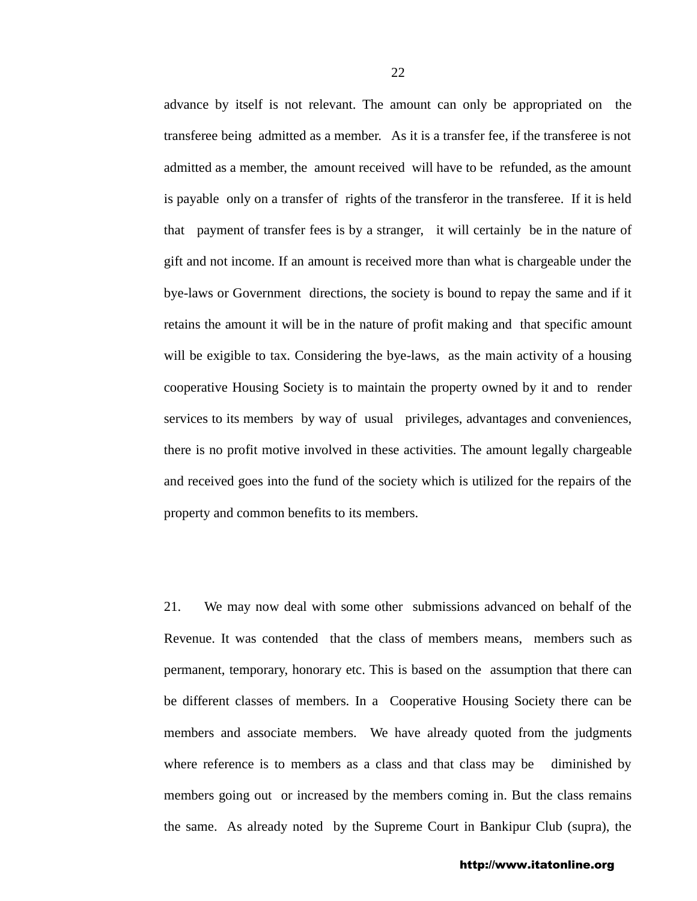advance by itself is not relevant. The amount can only be appropriated on the transferee being admitted as a member. As it is a transfer fee, if the transferee is not admitted as a member, the amount received will have to be refunded, as the amount is payable only on a transfer of rights of the transferor in the transferee. If it is held that payment of transfer fees is by a stranger, it will certainly be in the nature of gift and not income. If an amount is received more than what is chargeable under the bye-laws or Government directions, the society is bound to repay the same and if it retains the amount it will be in the nature of profit making and that specific amount will be exigible to tax. Considering the bye-laws, as the main activity of a housing cooperative Housing Society is to maintain the property owned by it and to render services to its members by way of usual privileges, advantages and conveniences, there is no profit motive involved in these activities. The amount legally chargeable and received goes into the fund of the society which is utilized for the repairs of the property and common benefits to its members.

21. We may now deal with some other submissions advanced on behalf of the Revenue. It was contended that the class of members means, members such as permanent, temporary, honorary etc. This is based on the assumption that there can be different classes of members. In a Cooperative Housing Society there can be members and associate members. We have already quoted from the judgments where reference is to members as a class and that class may be diminished by members going out or increased by the members coming in. But the class remains the same. As already noted by the Supreme Court in Bankipur Club (supra), the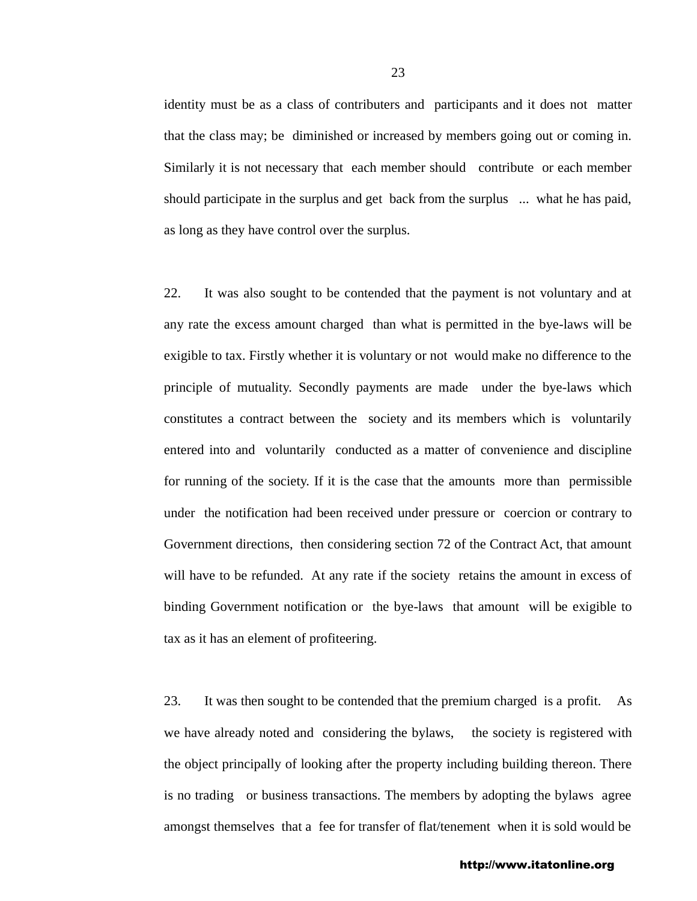identity must be as a class of contributers and participants and it does not matter that the class may; be diminished or increased by members going out or coming in. Similarly it is not necessary that each member should contribute or each member should participate in the surplus and get back from the surplus ... what he has paid, as long as they have control over the surplus.

22. It was also sought to be contended that the payment is not voluntary and at any rate the excess amount charged than what is permitted in the bye-laws will be exigible to tax. Firstly whether it is voluntary or not would make no difference to the principle of mutuality. Secondly payments are made under the bye-laws which constitutes a contract between the society and its members which is voluntarily entered into and voluntarily conducted as a matter of convenience and discipline for running of the society. If it is the case that the amounts more than permissible under the notification had been received under pressure or coercion or contrary to Government directions, then considering section 72 of the Contract Act, that amount will have to be refunded. At any rate if the society retains the amount in excess of binding Government notification or the bye-laws that amount will be exigible to tax as it has an element of profiteering.

23. It was then sought to be contended that the premium charged is a profit. As we have already noted and considering the bylaws, the society is registered with the object principally of looking after the property including building thereon. There is no trading or business transactions. The members by adopting the bylaws agree amongst themselves that a fee for transfer of flat/tenement when it is sold would be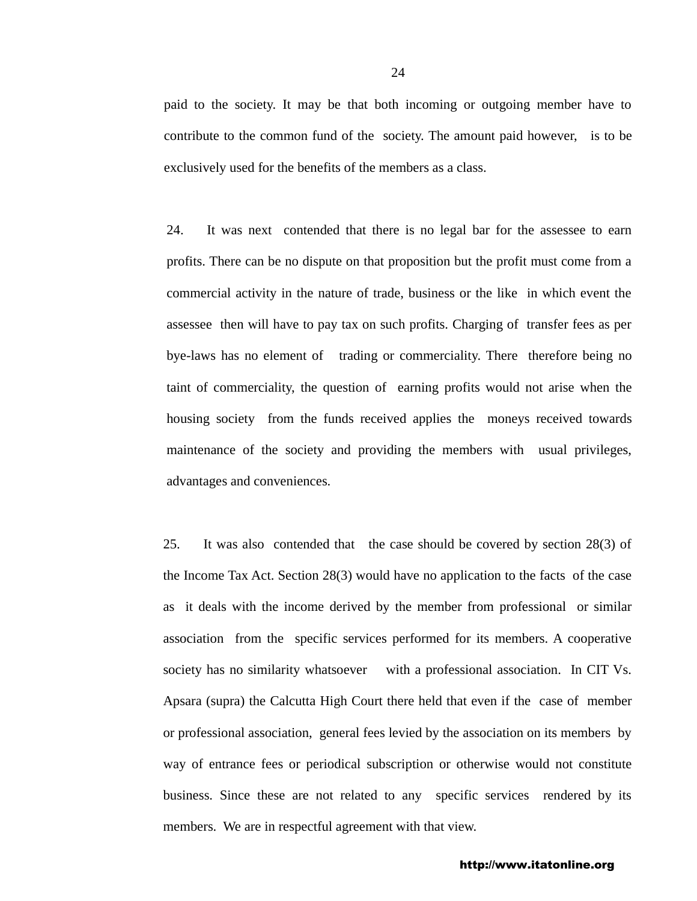paid to the society. It may be that both incoming or outgoing member have to contribute to the common fund of the society. The amount paid however, is to be exclusively used for the benefits of the members as a class.

24. It was next contended that there is no legal bar for the assessee to earn profits. There can be no dispute on that proposition but the profit must come from a commercial activity in the nature of trade, business or the like in which event the assessee then will have to pay tax on such profits. Charging of transfer fees as per bye-laws has no element of trading or commerciality. There therefore being no taint of commerciality, the question of earning profits would not arise when the housing society from the funds received applies the moneys received towards maintenance of the society and providing the members with usual privileges, advantages and conveniences.

25. It was also contended that the case should be covered by section 28(3) of the Income Tax Act. Section 28(3) would have no application to the facts of the case as it deals with the income derived by the member from professional or similar association from the specific services performed for its members. A cooperative society has no similarity whatsoever with a professional association. In CIT Vs. Apsara (supra) the Calcutta High Court there held that even if the case of member or professional association, general fees levied by the association on its members by way of entrance fees or periodical subscription or otherwise would not constitute business. Since these are not related to any specific services rendered by its members. We are in respectful agreement with that view.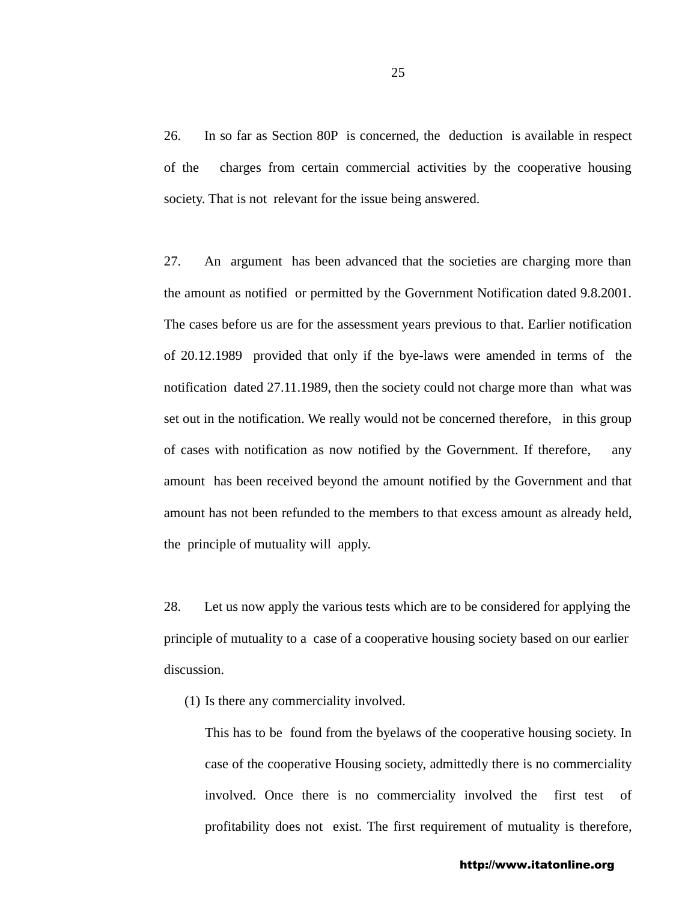26. In so far as Section 80P is concerned, the deduction is available in respect of the charges from certain commercial activities by the cooperative housing society. That is not relevant for the issue being answered.

27. An argument has been advanced that the societies are charging more than the amount as notified or permitted by the Government Notification dated 9.8.2001. The cases before us are for the assessment years previous to that. Earlier notification of 20.12.1989 provided that only if the bye-laws were amended in terms of the notification dated 27.11.1989, then the society could not charge more than what was set out in the notification. We really would not be concerned therefore, in this group of cases with notification as now notified by the Government. If therefore, any amount has been received beyond the amount notified by the Government and that amount has not been refunded to the members to that excess amount as already held, the principle of mutuality will apply.

28. Let us now apply the various tests which are to be considered for applying the principle of mutuality to a case of a cooperative housing society based on our earlier discussion.

(1) Is there any commerciality involved.

This has to be found from the byelaws of the cooperative housing society. In case of the cooperative Housing society, admittedly there is no commerciality involved. Once there is no commerciality involved the first test of profitability does not exist. The first requirement of mutuality is therefore,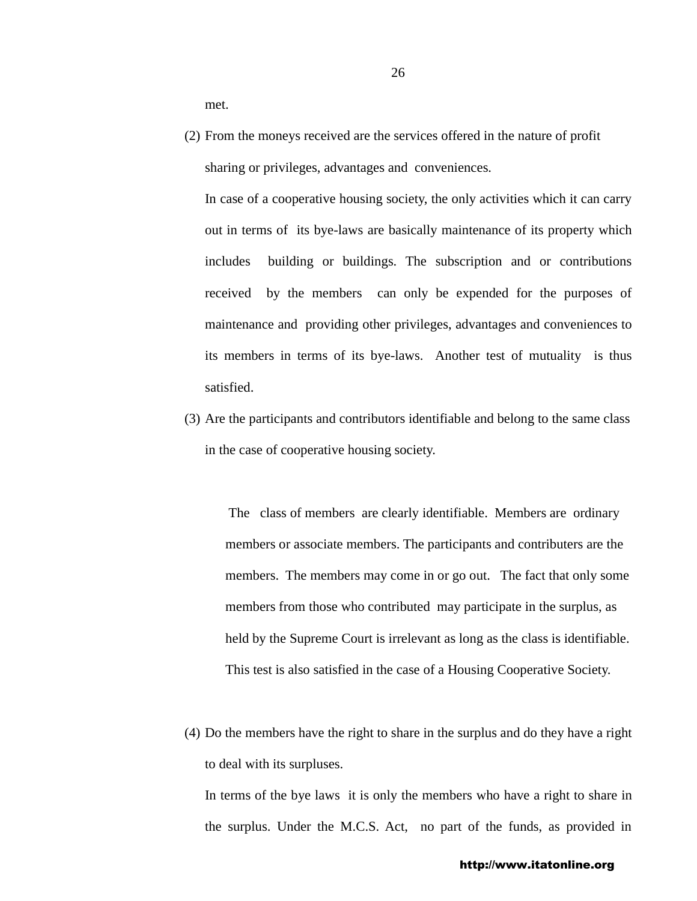met.

(2) From the moneys received are the services offered in the nature of profit sharing or privileges, advantages and conveniences.

In case of a cooperative housing society, the only activities which it can carry out in terms of its bye-laws are basically maintenance of its property which includes building or buildings. The subscription and or contributions received by the members can only be expended for the purposes of maintenance and providing other privileges, advantages and conveniences to its members in terms of its bye-laws. Another test of mutuality is thus satisfied.

(3) Are the participants and contributors identifiable and belong to the same class in the case of cooperative housing society.

 The class of members are clearly identifiable. Members are ordinary members or associate members. The participants and contributers are the members. The members may come in or go out. The fact that only some members from those who contributed may participate in the surplus, as held by the Supreme Court is irrelevant as long as the class is identifiable. This test is also satisfied in the case of a Housing Cooperative Society.

(4) Do the members have the right to share in the surplus and do they have a right to deal with its surpluses.

In terms of the bye laws it is only the members who have a right to share in the surplus. Under the M.C.S. Act, no part of the funds, as provided in